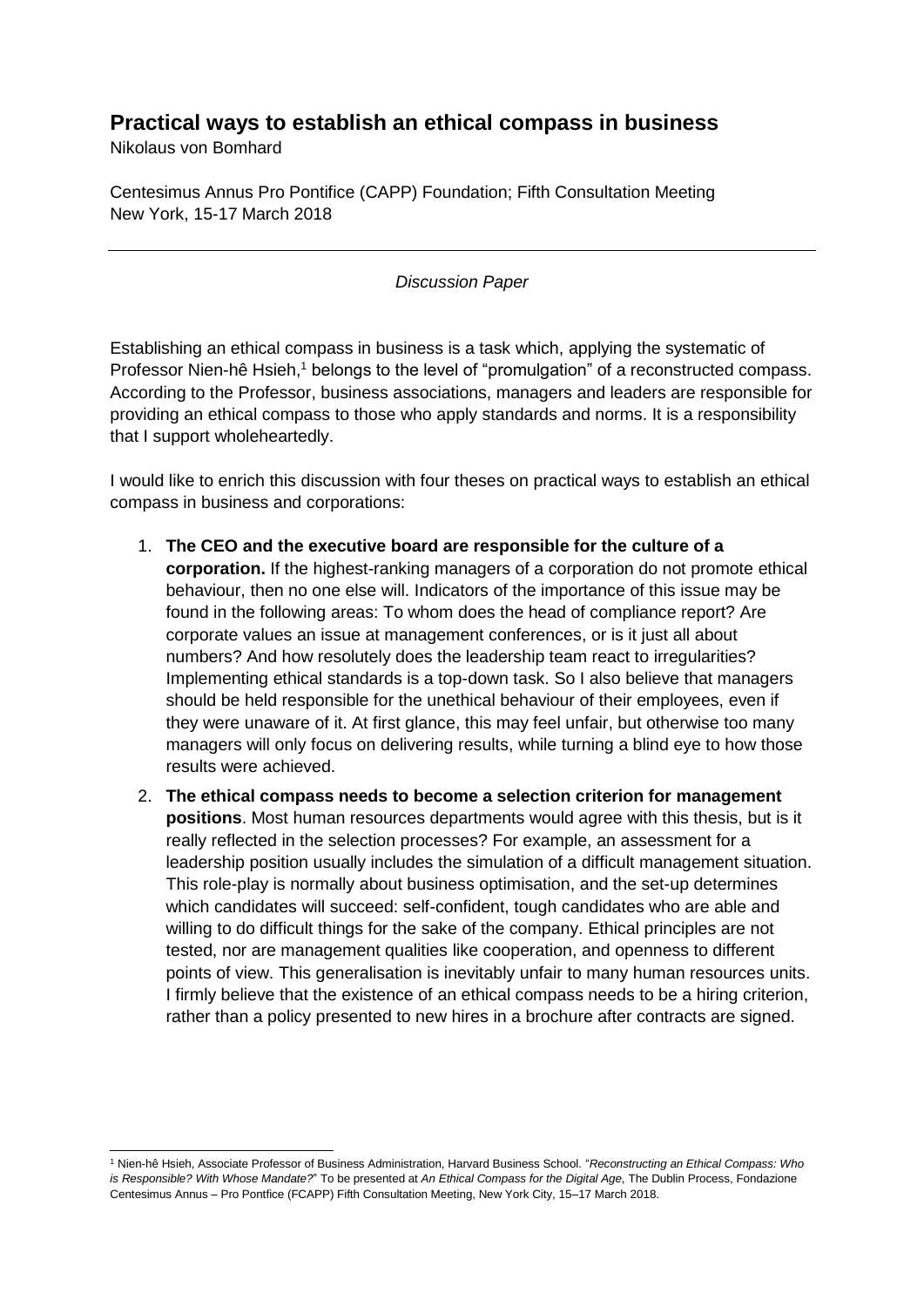## **Practical ways to establish an ethical compass in business**

Nikolaus von Bomhard

l

Centesimus Annus Pro Pontifice (CAPP) Foundation; Fifth Consultation Meeting New York, 15-17 March 2018

## *Discussion Paper*

Establishing an ethical compass in business is a task which, applying the systematic of Professor Nien-hê Hsieh,<sup>1</sup> belongs to the level of "promulgation" of a reconstructed compass. According to the Professor, business associations, managers and leaders are responsible for providing an ethical compass to those who apply standards and norms. It is a responsibility that I support wholeheartedly.

I would like to enrich this discussion with four theses on practical ways to establish an ethical compass in business and corporations:

- 1. **The CEO and the executive board are responsible for the culture of a corporation.** If the highest-ranking managers of a corporation do not promote ethical behaviour, then no one else will. Indicators of the importance of this issue may be found in the following areas: To whom does the head of compliance report? Are corporate values an issue at management conferences, or is it just all about numbers? And how resolutely does the leadership team react to irregularities? Implementing ethical standards is a top-down task. So I also believe that managers should be held responsible for the unethical behaviour of their employees, even if they were unaware of it. At first glance, this may feel unfair, but otherwise too many managers will only focus on delivering results, while turning a blind eye to how those results were achieved.
- 2. **The ethical compass needs to become a selection criterion for management positions**. Most human resources departments would agree with this thesis, but is it really reflected in the selection processes? For example, an assessment for a leadership position usually includes the simulation of a difficult management situation. This role-play is normally about business optimisation, and the set-up determines which candidates will succeed: self-confident, tough candidates who are able and willing to do difficult things for the sake of the company. Ethical principles are not tested, nor are management qualities like cooperation, and openness to different points of view. This generalisation is inevitably unfair to many human resources units. I firmly believe that the existence of an ethical compass needs to be a hiring criterion, rather than a policy presented to new hires in a brochure after contracts are signed.

<sup>1</sup> Nien-hê Hsieh, Associate Professor of Business Administration, Harvard Business School. "*Reconstructing an Ethical Compass: Who is Responsible? With Whose Mandate?*" To be presented at *An Ethical Compass for the Digital Age*, The Dublin Process, Fondazione Centesimus Annus – Pro Pontfice (FCAPP) Fifth Consultation Meeting, New York City, 15–17 March 2018.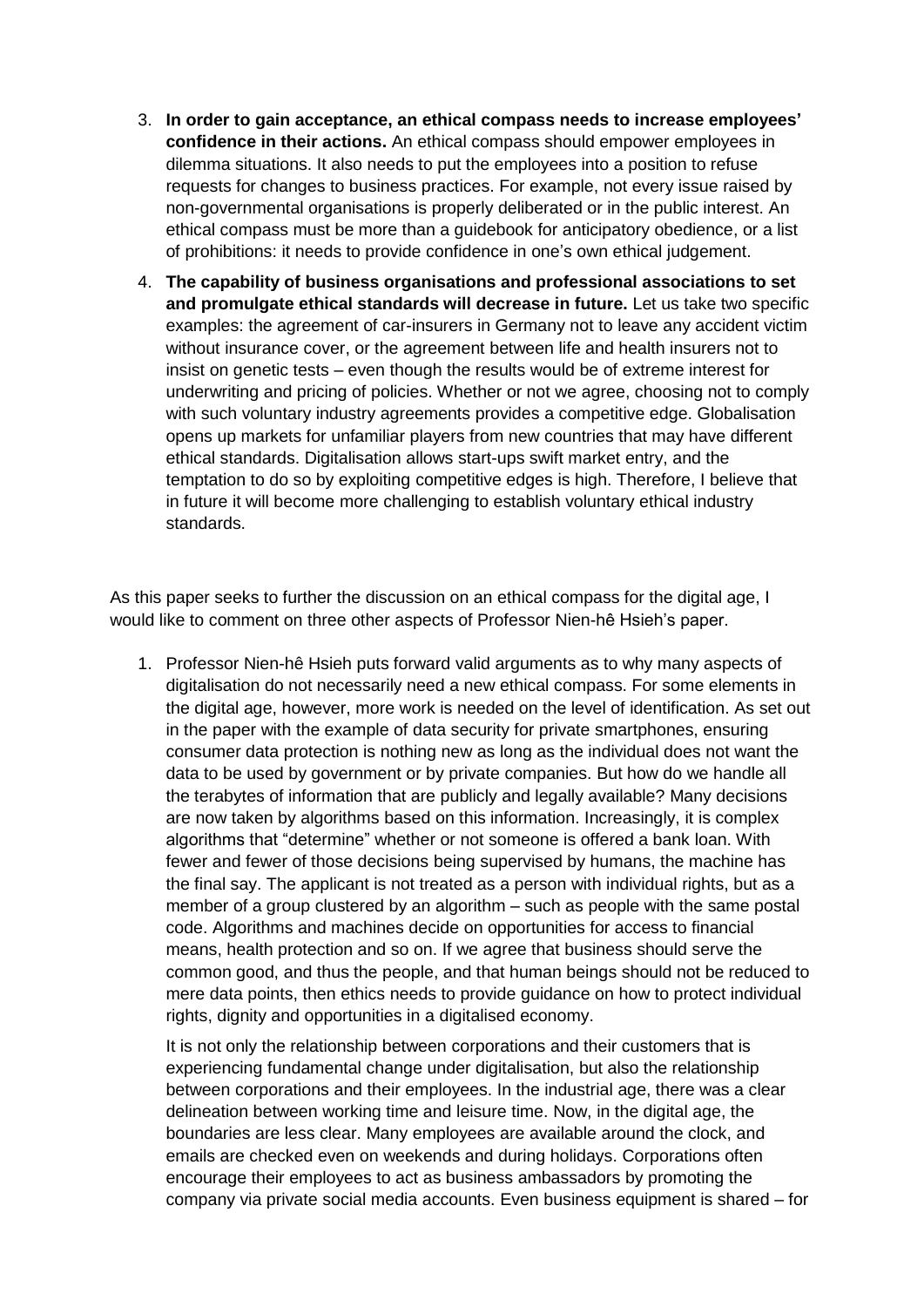- 3. **In order to gain acceptance, an ethical compass needs to increase employees' confidence in their actions.** An ethical compass should empower employees in dilemma situations. It also needs to put the employees into a position to refuse requests for changes to business practices. For example, not every issue raised by non-governmental organisations is properly deliberated or in the public interest. An ethical compass must be more than a guidebook for anticipatory obedience, or a list of prohibitions: it needs to provide confidence in one's own ethical judgement.
- 4. **The capability of business organisations and professional associations to set and promulgate ethical standards will decrease in future.** Let us take two specific examples: the agreement of car-insurers in Germany not to leave any accident victim without insurance cover, or the agreement between life and health insurers not to insist on genetic tests – even though the results would be of extreme interest for underwriting and pricing of policies. Whether or not we agree, choosing not to comply with such voluntary industry agreements provides a competitive edge. Globalisation opens up markets for unfamiliar players from new countries that may have different ethical standards. Digitalisation allows start-ups swift market entry, and the temptation to do so by exploiting competitive edges is high. Therefore, I believe that in future it will become more challenging to establish voluntary ethical industry standards.

As this paper seeks to further the discussion on an ethical compass for the digital age, I would like to comment on three other aspects of Professor Nien-hê Hsieh's paper.

1. Professor Nien-hê Hsieh puts forward valid arguments as to why many aspects of digitalisation do not necessarily need a new ethical compass. For some elements in the digital age, however, more work is needed on the level of identification. As set out in the paper with the example of data security for private smartphones, ensuring consumer data protection is nothing new as long as the individual does not want the data to be used by government or by private companies. But how do we handle all the terabytes of information that are publicly and legally available? Many decisions are now taken by algorithms based on this information. Increasingly, it is complex algorithms that "determine" whether or not someone is offered a bank loan. With fewer and fewer of those decisions being supervised by humans, the machine has the final say. The applicant is not treated as a person with individual rights, but as a member of a group clustered by an algorithm – such as people with the same postal code. Algorithms and machines decide on opportunities for access to financial means, health protection and so on. If we agree that business should serve the common good, and thus the people, and that human beings should not be reduced to mere data points, then ethics needs to provide guidance on how to protect individual rights, dignity and opportunities in a digitalised economy.

It is not only the relationship between corporations and their customers that is experiencing fundamental change under digitalisation, but also the relationship between corporations and their employees. In the industrial age, there was a clear delineation between working time and leisure time. Now, in the digital age, the boundaries are less clear. Many employees are available around the clock, and emails are checked even on weekends and during holidays. Corporations often encourage their employees to act as business ambassadors by promoting the company via private social media accounts. Even business equipment is shared – for